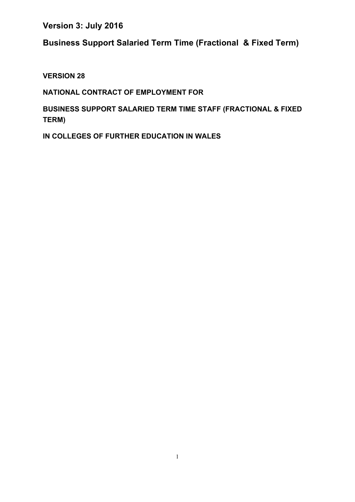**Business Support Salaried Term Time (Fractional & Fixed Term)** 

**VERSION 28**

**NATIONAL CONTRACT OF EMPLOYMENT FOR** 

**BUSINESS SUPPORT SALARIED TERM TIME STAFF (FRACTIONAL & FIXED TERM)**

**IN COLLEGES OF FURTHER EDUCATION IN WALES**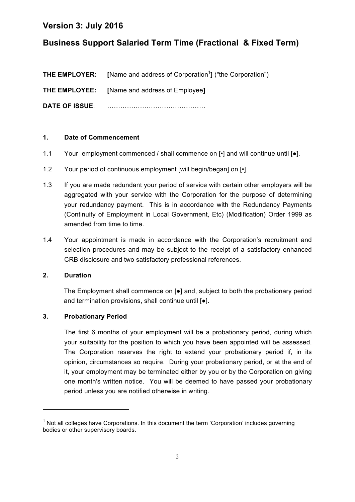# **Business Support Salaried Term Time (Fractional & Fixed Term)**

|                       | <b>THE EMPLOYER:</b> [Name and address of Corporation <sup>1</sup> ] ("the Corporation") |
|-----------------------|------------------------------------------------------------------------------------------|
|                       | <b>THE EMPLOYEE:</b> [Name and address of Employee]                                      |
| <b>DATE OF ISSUE:</b> |                                                                                          |

#### **1. Date of Commencement**

- 1.1 Your employment commenced / shall commence on  $\lceil \cdot \rceil$  and will continue until  $\lceil \cdot \rceil$ .
- 1.2 Your period of continuous employment [will begin/began] on  $\lceil \cdot \rceil$ .
- 1.3 If you are made redundant your period of service with certain other employers will be aggregated with your service with the Corporation for the purpose of determining your redundancy payment. This is in accordance with the Redundancy Payments (Continuity of Employment in Local Government, Etc) (Modification) Order 1999 as amended from time to time.
- 1.4 Your appointment is made in accordance with the Corporation's recruitment and selection procedures and may be subject to the receipt of a satisfactory enhanced CRB disclosure and two satisfactory professional references.

#### **2. Duration**

The Employment shall commence on [●] and, subject to both the probationary period and termination provisions, shall continue until [●].

### **3. Probationary Period**

<u> 1989 - Jan Samuel Barbara, margaret e</u>

The first 6 months of your employment will be a probationary period, during which your suitability for the position to which you have been appointed will be assessed. The Corporation reserves the right to extend your probationary period if, in its opinion, circumstances so require. During your probationary period, or at the end of it, your employment may be terminated either by you or by the Corporation on giving one month's written notice. You will be deemed to have passed your probationary period unless you are notified otherwise in writing.

 $1$  Not all colleges have Corporations. In this document the term 'Corporation' includes governing bodies or other supervisory boards.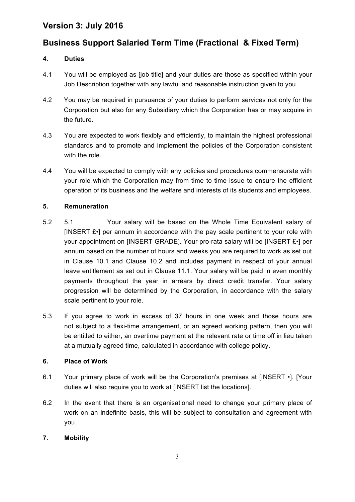# **Business Support Salaried Term Time (Fractional & Fixed Term)**

### **4. Duties**

- 4.1 You will be employed as [job title] and your duties are those as specified within your Job Description together with any lawful and reasonable instruction given to you.
- 4.2 You may be required in pursuance of your duties to perform services not only for the Corporation but also for any Subsidiary which the Corporation has or may acquire in the future.
- 4.3 You are expected to work flexibly and efficiently, to maintain the highest professional standards and to promote and implement the policies of the Corporation consistent with the role.
- 4.4 You will be expected to comply with any policies and procedures commensurate with your role which the Corporation may from time to time issue to ensure the efficient operation of its business and the welfare and interests of its students and employees.

### **5. Remuneration**

- 5.2 5.1 Your salary will be based on the Whole Time Equivalent salary of [INSERT £•] per annum in accordance with the pay scale pertinent to your role with your appointment on [INSERT GRADE]. Your pro-rata salary will be [INSERT £•] per annum based on the number of hours and weeks you are required to work as set out in Clause 10.1 and Clause 10.2 and includes payment in respect of your annual leave entitlement as set out in Clause 11.1. Your salary will be paid in even monthly payments throughout the year in arrears by direct credit transfer. Your salary progression will be determined by the Corporation, in accordance with the salary scale pertinent to your role.
- 5.3 If you agree to work in excess of 37 hours in one week and those hours are not subject to a flexi-time arrangement, or an agreed working pattern, then you will be entitled to either, an overtime payment at the relevant rate or time off in lieu taken at a mutually agreed time, calculated in accordance with college policy.

### **6. Place of Work**

- 6.1 Your primary place of work will be the Corporation's premises at [INSERT •]. [Your duties will also require you to work at [INSERT list the locations].
- 6.2 In the event that there is an organisational need to change your primary place of work on an indefinite basis, this will be subject to consultation and agreement with you.

### **7. Mobility**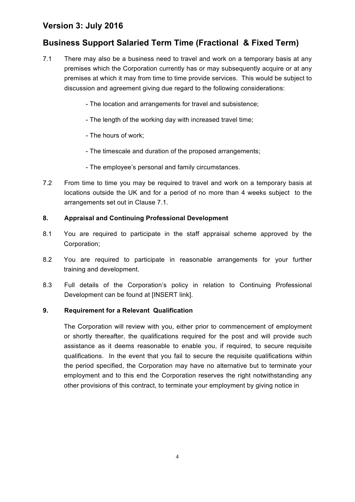# **Business Support Salaried Term Time (Fractional & Fixed Term)**

- 7.1 There may also be a business need to travel and work on a temporary basis at any premises which the Corporation currently has or may subsequently acquire or at any premises at which it may from time to time provide services. This would be subject to discussion and agreement giving due regard to the following considerations:
	- The location and arrangements for travel and subsistence;
	- The length of the working day with increased travel time;
	- The hours of work;
	- The timescale and duration of the proposed arrangements;
	- The employee's personal and family circumstances.
- 7.2 From time to time you may be required to travel and work on a temporary basis at locations outside the UK and for a period of no more than 4 weeks subject to the arrangements set out in Clause 7.1.

#### **8. Appraisal and Continuing Professional Development**

- 8.1 You are required to participate in the staff appraisal scheme approved by the Corporation;
- 8.2 You are required to participate in reasonable arrangements for your further training and development.
- 8.3 Full details of the Corporation's policy in relation to Continuing Professional Development can be found at [INSERT link].

#### **9. Requirement for a Relevant Qualification**

The Corporation will review with you, either prior to commencement of employment or shortly thereafter, the qualifications required for the post and will provide such assistance as it deems reasonable to enable you, if required, to secure requisite qualifications. In the event that you fail to secure the requisite qualifications within the period specified, the Corporation may have no alternative but to terminate your employment and to this end the Corporation reserves the right notwithstanding any other provisions of this contract, to terminate your employment by giving notice in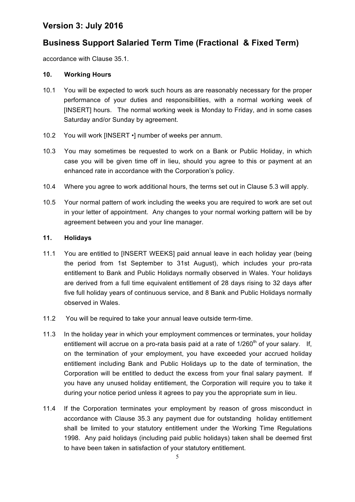# **Business Support Salaried Term Time (Fractional & Fixed Term)**

accordance with Clause 35.1.

#### **10. Working Hours**

- 10.1 You will be expected to work such hours as are reasonably necessary for the proper performance of your duties and responsibilities, with a normal working week of [INSERT] hours. The normal working week is Monday to Friday, and in some cases Saturday and/or Sunday by agreement.
- 10.2 You will work [INSERT •] number of weeks per annum.
- 10.3 You may sometimes be requested to work on a Bank or Public Holiday, in which case you will be given time off in lieu, should you agree to this or payment at an enhanced rate in accordance with the Corporation's policy.
- 10.4 Where you agree to work additional hours, the terms set out in Clause 5.3 will apply.
- 10.5 Your normal pattern of work including the weeks you are required to work are set out in your letter of appointment. Any changes to your normal working pattern will be by agreement between you and your line manager.

#### **11. Holidays**

- 11.1 You are entitled to [INSERT WEEKS] paid annual leave in each holiday year (being the period from 1st September to 31st August), which includes your pro-rata entitlement to Bank and Public Holidays normally observed in Wales. Your holidays are derived from a full time equivalent entitlement of 28 days rising to 32 days after five full holiday years of continuous service, and 8 Bank and Public Holidays normally observed in Wales.
- 11.2 You will be required to take your annual leave outside term-time.
- 11.3 In the holiday year in which your employment commences or terminates, your holiday entitlement will accrue on a pro-rata basis paid at a rate of  $1/260<sup>th</sup>$  of your salary. If, on the termination of your employment, you have exceeded your accrued holiday entitlement including Bank and Public Holidays up to the date of termination, the Corporation will be entitled to deduct the excess from your final salary payment. If you have any unused holiday entitlement, the Corporation will require you to take it during your notice period unless it agrees to pay you the appropriate sum in lieu.
- 11.4 If the Corporation terminates your employment by reason of gross misconduct in accordance with Clause 35.3 any payment due for outstanding holiday entitlement shall be limited to your statutory entitlement under the Working Time Regulations 1998. Any paid holidays (including paid public holidays) taken shall be deemed first to have been taken in satisfaction of your statutory entitlement.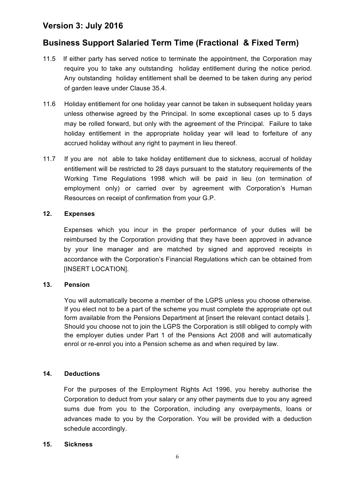## **Business Support Salaried Term Time (Fractional & Fixed Term)**

- 11.5If either party has served notice to terminate the appointment, the Corporation may require you to take any outstanding holiday entitlement during the notice period. Any outstanding holiday entitlement shall be deemed to be taken during any period of garden leave under Clause 35.4.
- 11.6 Holiday entitlement for one holiday year cannot be taken in subsequent holiday years unless otherwise agreed by the Principal. In some exceptional cases up to 5 days may be rolled forward, but only with the agreement of the Principal. Failure to take holiday entitlement in the appropriate holiday year will lead to forfeiture of any accrued holiday without any right to payment in lieu thereof*.*
- 11.7 If you are not able to take holiday entitlement due to sickness, accrual of holiday entitlement will be restricted to 28 days pursuant to the statutory requirements of the Working Time Regulations 1998 which will be paid in lieu (on termination of employment only) or carried over by agreement with Corporation's Human Resources on receipt of confirmation from your G.P.

#### **12. Expenses**

Expenses which you incur in the proper performance of your duties will be reimbursed by the Corporation providing that they have been approved in advance by your line manager and are matched by signed and approved receipts in accordance with the Corporation's Financial Regulations which can be obtained from [INSERT LOCATION].

#### **13. Pension**

You will automatically become a member of the LGPS unless you choose otherwise. If you elect not to be a part of the scheme you must complete the appropriate opt out form available from the Pensions Department at [insert the relevant contact details ]. Should you choose not to join the LGPS the Corporation is still obliged to comply with the employer duties under Part 1 of the Pensions Act 2008 and will automatically enrol or re-enrol you into a Pension scheme as and when required by law.

### **14. Deductions**

For the purposes of the Employment Rights Act 1996, you hereby authorise the Corporation to deduct from your salary or any other payments due to you any agreed sums due from you to the Corporation, including any overpayments, loans or advances made to you by the Corporation. You will be provided with a deduction schedule accordingly.

#### **15. Sickness**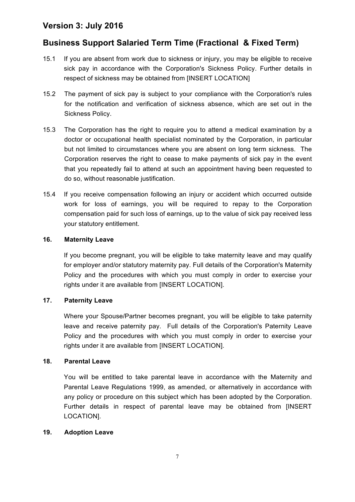### **Business Support Salaried Term Time (Fractional & Fixed Term)**

- 15.1 If you are absent from work due to sickness or injury, you may be eligible to receive sick pay in accordance with the Corporation's Sickness Policy. Further details in respect of sickness may be obtained from [INSERT LOCATION]
- 15.2 The payment of sick pay is subject to your compliance with the Corporation's rules for the notification and verification of sickness absence, which are set out in the Sickness Policy.
- 15.3 The Corporation has the right to require you to attend a medical examination by a doctor or occupational health specialist nominated by the Corporation, in particular but not limited to circumstances where you are absent on long term sickness. The Corporation reserves the right to cease to make payments of sick pay in the event that you repeatedly fail to attend at such an appointment having been requested to do so, without reasonable justification.
- 15.4 If you receive compensation following an injury or accident which occurred outside work for loss of earnings, you will be required to repay to the Corporation compensation paid for such loss of earnings, up to the value of sick pay received less your statutory entitlement.

#### **16. Maternity Leave**

If you become pregnant, you will be eligible to take maternity leave and may qualify for employer and/or statutory maternity pay. Full details of the Corporation's Maternity Policy and the procedures with which you must comply in order to exercise your rights under it are available from [INSERT LOCATION].

### **17. Paternity Leave**

Where your Spouse/Partner becomes pregnant, you will be eligible to take paternity leave and receive paternity pay. Full details of the Corporation's Paternity Leave Policy and the procedures with which you must comply in order to exercise your rights under it are available from [INSERT LOCATION].

#### **18. Parental Leave**

You will be entitled to take parental leave in accordance with the Maternity and Parental Leave Regulations 1999, as amended, or alternatively in accordance with any policy or procedure on this subject which has been adopted by the Corporation. Further details in respect of parental leave may be obtained from [INSERT LOCATION].

#### **19. Adoption Leave**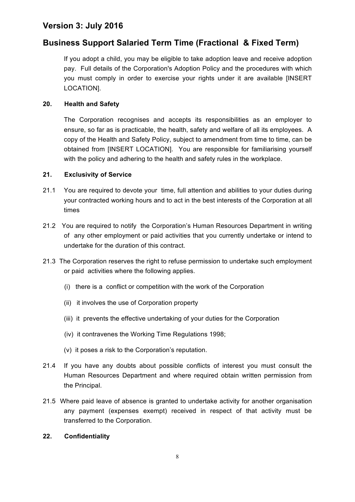### **Business Support Salaried Term Time (Fractional & Fixed Term)**

If you adopt a child, you may be eligible to take adoption leave and receive adoption pay. Full details of the Corporation's Adoption Policy and the procedures with which you must comply in order to exercise your rights under it are available [INSERT LOCATION].

#### **20. Health and Safety**

The Corporation recognises and accepts its responsibilities as an employer to ensure, so far as is practicable, the health, safety and welfare of all its employees. A copy of the Health and Safety Policy, subject to amendment from time to time, can be obtained from [INSERT LOCATION]. You are responsible for familiarising yourself with the policy and adhering to the health and safety rules in the workplace.

#### **21. Exclusivity of Service**

- 21.1 You are required to devote your time, full attention and abilities to your duties during your contracted working hours and to act in the best interests of the Corporation at all times
- 21.2 You are required to notify the Corporation's Human Resources Department in writing of any other employment or paid activities that you currently undertake or intend to undertake for the duration of this contract.
- 21.3 The Corporation reserves the right to refuse permission to undertake such employment or paid activities where the following applies.
	- (i) there is a conflict or competition with the work of the Corporation
	- (ii) it involves the use of Corporation property
	- (iii) it prevents the effective undertaking of your duties for the Corporation
	- (iv) it contravenes the Working Time Regulations 1998;
	- (v) it poses a risk to the Corporation's reputation.
- 21.4 If you have any doubts about possible conflicts of interest you must consult the Human Resources Department and where required obtain written permission from the Principal.
- 21.5 Where paid leave of absence is granted to undertake activity for another organisation any payment (expenses exempt) received in respect of that activity must be transferred to the Corporation.

#### **22. Confidentiality**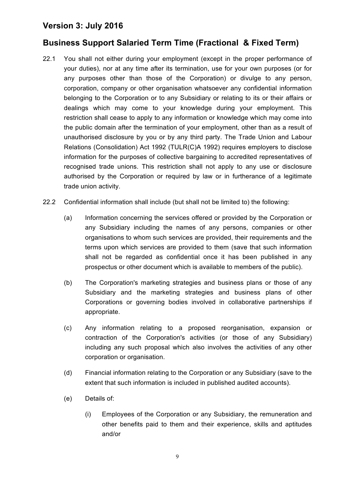# **Business Support Salaried Term Time (Fractional & Fixed Term)**

- 22.1 You shall not either during your employment (except in the proper performance of your duties), nor at any time after its termination, use for your own purposes (or for any purposes other than those of the Corporation) or divulge to any person, corporation, company or other organisation whatsoever any confidential information belonging to the Corporation or to any Subsidiary or relating to its or their affairs or dealings which may come to your knowledge during your employment. This restriction shall cease to apply to any information or knowledge which may come into the public domain after the termination of your employment, other than as a result of unauthorised disclosure by you or by any third party. The Trade Union and Labour Relations (Consolidation) Act 1992 (TULR(C)A 1992) requires employers to disclose information for the purposes of collective bargaining to accredited representatives of recognised trade unions. This restriction shall not apply to any use or disclosure authorised by the Corporation or required by law or in furtherance of a legitimate trade union activity.
- 22.2 Confidential information shall include (but shall not be limited to) the following:
	- (a) Information concerning the services offered or provided by the Corporation or any Subsidiary including the names of any persons, companies or other organisations to whom such services are provided, their requirements and the terms upon which services are provided to them (save that such information shall not be regarded as confidential once it has been published in any prospectus or other document which is available to members of the public).
	- (b) The Corporation's marketing strategies and business plans or those of any Subsidiary and the marketing strategies and business plans of other Corporations or governing bodies involved in collaborative partnerships if appropriate.
	- (c) Any information relating to a proposed reorganisation, expansion or contraction of the Corporation's activities (or those of any Subsidiary) including any such proposal which also involves the activities of any other corporation or organisation.
	- (d) Financial information relating to the Corporation or any Subsidiary (save to the extent that such information is included in published audited accounts).
	- (e) Details of:
		- (i) Employees of the Corporation or any Subsidiary, the remuneration and other benefits paid to them and their experience, skills and aptitudes and/or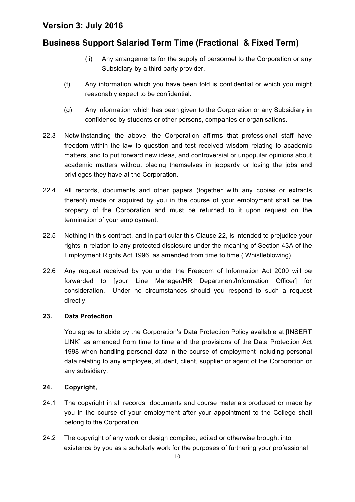# **Business Support Salaried Term Time (Fractional & Fixed Term)**

- (ii) Any arrangements for the supply of personnel to the Corporation or any Subsidiary by a third party provider.
- (f) Any information which you have been told is confidential or which you might reasonably expect to be confidential.
- (g) Any information which has been given to the Corporation or any Subsidiary in confidence by students or other persons, companies or organisations.
- 22.3 Notwithstanding the above, the Corporation affirms that professional staff have freedom within the law to question and test received wisdom relating to academic matters, and to put forward new ideas, and controversial or unpopular opinions about academic matters without placing themselves in jeopardy or losing the jobs and privileges they have at the Corporation.
- 22.4 All records, documents and other papers (together with any copies or extracts thereof) made or acquired by you in the course of your employment shall be the property of the Corporation and must be returned to it upon request on the termination of your employment.
- 22.5 Nothing in this contract, and in particular this Clause 22, is intended to prejudice your rights in relation to any protected disclosure under the meaning of Section 43A of the Employment Rights Act 1996, as amended from time to time ( Whistleblowing).
- 22.6 Any request received by you under the Freedom of Information Act 2000 will be forwarded to [your Line Manager/HR Department/Information Officer] for consideration. Under no circumstances should you respond to such a request directly.

### **23. Data Protection**

You agree to abide by the Corporation's Data Protection Policy available at [INSERT LINK] as amended from time to time and the provisions of the Data Protection Act 1998 when handling personal data in the course of employment including personal data relating to any employee, student, client, supplier or agent of the Corporation or any subsidiary.

### **24. Copyright,**

- 24.1 The copyright in all records documents and course materials produced or made by you in the course of your employment after your appointment to the College shall belong to the Corporation.
- 24.2 The copyright of any work or design compiled, edited or otherwise brought into existence by you as a scholarly work for the purposes of furthering your professional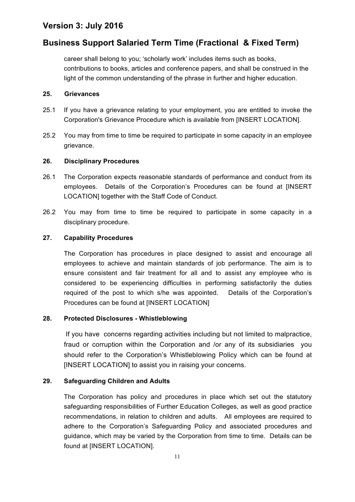# **Business Support Salaried Term Time (Fractional & Fixed Term)**

career shall belong to you; 'scholarly work' includes items such as books, contributions to books, articles and conference papers, and shall be construed in the light of the common understanding of the phrase in further and higher education.

#### **25. Grievances**

- 25.1 If you have a grievance relating to your employment, you are entitled to invoke the Corporation's Grievance Procedure which is available from [INSERT LOCATION].
- 25.2 You may from time to time be required to participate in some capacity in an employee grievance.

### **26. Disciplinary Procedures**

- 26.1 The Corporation expects reasonable standards of performance and conduct from its employees. Details of the Corporation's Procedures can be found at [INSERT LOCATION] together with the Staff Code of Conduct.
- 26.2 You may from time to time be required to participate in some capacity in a disciplinary procedure.

#### **27. Capability Procedures**

The Corporation has procedures in place designed to assist and encourage all employees to achieve and maintain standards of job performance. The aim is to ensure consistent and fair treatment for all and to assist any employee who is considered to be experiencing difficulties in performing satisfactorily the duties required of the post to which s/he was appointed. Details of the Corporation's Procedures can be found at [INSERT LOCATION]

### **28. Protected Disclosures - Whistleblowing**

If you have concerns regarding activities including but not limited to malpractice, fraud or corruption within the Corporation and /or any of its subsidiaries you should refer to the Corporation's Whistleblowing Policy which can be found at [INSERT LOCATION] to assist you in raising your concerns.

### **29. Safeguarding Children and Adults**

The Corporation has policy and procedures in place which set out the statutory safeguarding responsibilities of Further Education Colleges, as well as good practice recommendations, in relation to children and adults. All employees are required to adhere to the Corporation's Safeguarding Policy and associated procedures and guidance, which may be varied by the Corporation from time to time. Details can be found at [INSERT LOCATION].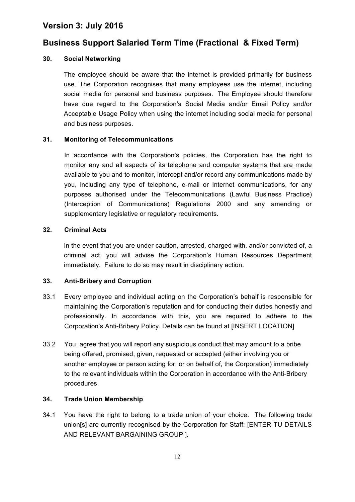### **Business Support Salaried Term Time (Fractional & Fixed Term)**

#### **30. Social Networking**

The employee should be aware that the internet is provided primarily for business use. The Corporation recognises that many employees use the internet, including social media for personal and business purposes. The Employee should therefore have due regard to the Corporation's Social Media and/or Email Policy and/or Acceptable Usage Policy when using the internet including social media for personal and business purposes.

#### **31. Monitoring of Telecommunications**

In accordance with the Corporation's policies, the Corporation has the right to monitor any and all aspects of its telephone and computer systems that are made available to you and to monitor, intercept and/or record any communications made by you, including any type of telephone, e-mail or Internet communications, for any purposes authorised under the Telecommunications (Lawful Business Practice) (Interception of Communications) Regulations 2000 and any amending or supplementary legislative or regulatory requirements.

#### **32. Criminal Acts**

In the event that you are under caution, arrested, charged with, and/or convicted of, a criminal act, you will advise the Corporation's Human Resources Department immediately. Failure to do so may result in disciplinary action.

#### **33. Anti-Bribery and Corruption**

- 33.1 Every employee and individual acting on the Corporation's behalf is responsible for maintaining the Corporation's reputation and for conducting their duties honestly and professionally. In accordance with this, you are required to adhere to the Corporation's Anti-Bribery Policy. Details can be found at [INSERT LOCATION]
- 33.2 You agree that you will report any suspicious conduct that may amount to a bribe being offered, promised, given, requested or accepted (either involving you or another employee or person acting for, or on behalf of, the Corporation) immediately to the relevant individuals within the Corporation in accordance with the Anti-Bribery procedures.

#### **34. Trade Union Membership**

34.1 You have the right to belong to a trade union of your choice. The following trade union[s] are currently recognised by the Corporation for Staff: [ENTER TU DETAILS AND RELEVANT BARGAINING GROUP ].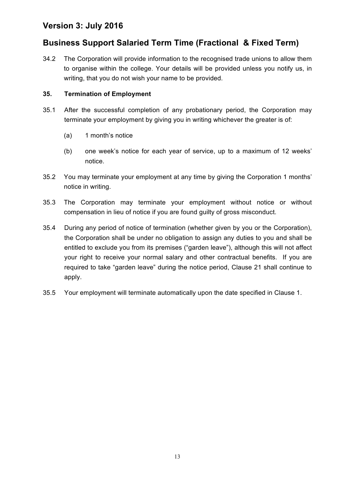# **Business Support Salaried Term Time (Fractional & Fixed Term)**

34.2 The Corporation will provide information to the recognised trade unions to allow them to organise within the college. Your details will be provided unless you notify us, in writing, that you do not wish your name to be provided.

### **35. Termination of Employment**

- 35.1 After the successful completion of any probationary period, the Corporation may terminate your employment by giving you in writing whichever the greater is of:
	- (a) 1 month's notice
	- (b) one week's notice for each year of service, up to a maximum of 12 weeks' notice.
- 35.2 You may terminate your employment at any time by giving the Corporation 1 months' notice in writing.
- 35.3 The Corporation may terminate your employment without notice or without compensation in lieu of notice if you are found guilty of gross misconduct.
- 35.4 During any period of notice of termination (whether given by you or the Corporation), the Corporation shall be under no obligation to assign any duties to you and shall be entitled to exclude you from its premises ("garden leave"), although this will not affect your right to receive your normal salary and other contractual benefits. If you are required to take "garden leave" during the notice period, Clause 21 shall continue to apply.
- 35.5 Your employment will terminate automatically upon the date specified in Clause 1.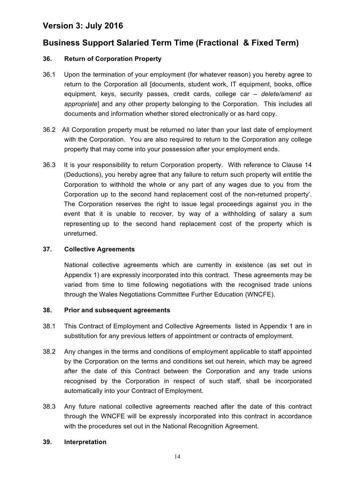# **Business Support Salaried Term Time (Fractional & Fixed Term)**

### **36. Return of Corporation Property**

- 36.1 Upon the termination of your employment (for whatever reason) you hereby agree to return to the Corporation all [documents, student work, IT equipment, books, office equipment, keys, security passes, credit cards, college car *– delete/amend as appropriate*] and any other property belonging to the Corporation. This includes all documents and information whether stored electronically or as hard copy.
- 36.2 All Corporation property must be returned no later than your last date of employment with the Corporation. You are also required to return to the Corporation any college property that may come into your possession after your employment ends.
- 36.3 It is your responsibility to return Corporation property. With reference to Clause 14 (Deductions), you hereby agree that any failure to return such property will entitle the Corporation to withhold the whole or any part of any wages due to you from the Corporation up to the second hand replacement cost of the non-returned property'. The Corporation reserves the right to issue legal proceedings against you in the event that it is unable to recover, by way of a withholding of salary a sum representing up to the second hand replacement cost of the property which is unreturned.

#### **37. Collective Agreements**

National collective agreements which are currently in existence (as set out in Appendix 1) are expressly incorporated into this contract. These agreements may be varied from time to time following negotiations with the recognised trade unions through the Wales Negotiations Committee Further Education (WNCFE).

### **38. Prior and subsequent agreements**

- 38.1 This Contract of Employment and Collective Agreements listed in Appendix 1 are in substitution for any previous letters of appointment or contracts of employment.
- 38.2 Any changes in the terms and conditions of employment applicable to staff appointed by the Corporation on the terms and conditions set out herein, which may be agreed after the date of this Contract between the Corporation and any trade unions recognised by the Corporation in respect of such staff, shall be incorporated automatically into your Contract of Employment.
- 38.3 Any future national collective agreements reached after the date of this contract through the WNCFE will be expressly incorporated into this contract in accordance with the procedures set out in the National Recognition Agreement.

### **39. Interpretation**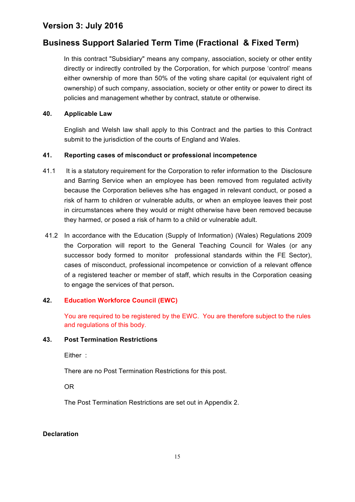## **Business Support Salaried Term Time (Fractional & Fixed Term)**

In this contract "Subsidiary" means any company, association, society or other entity directly or indirectly controlled by the Corporation, for which purpose 'control' means either ownership of more than 50% of the voting share capital (or equivalent right of ownership) of such company, association, society or other entity or power to direct its policies and management whether by contract, statute or otherwise.

#### **40. Applicable Law**

English and Welsh law shall apply to this Contract and the parties to this Contract submit to the jurisdiction of the courts of England and Wales.

### **41. Reporting cases of misconduct or professional incompetence**

- 41.1 It is a statutory requirement for the Corporation to refer information to the Disclosure and Barring Service when an employee has been removed from regulated activity because the Corporation believes s/he has engaged in relevant conduct, or posed a risk of harm to children or vulnerable adults, or when an employee leaves their post in circumstances where they would or might otherwise have been removed because they harmed, or posed a risk of harm to a child or vulnerable adult.
- 41.2 In accordance with the Education (Supply of Information) (Wales) Regulations 2009 the Corporation will report to the General Teaching Council for Wales (or any successor body formed to monitor professional standards within the FE Sector), cases of misconduct, professional incompetence or conviction of a relevant offence of a registered teacher or member of staff, which results in the Corporation ceasing to engage the services of that person**.**

### **42. Education Workforce Council (EWC)**

You are required to be registered by the EWC. You are therefore subject to the rules and regulations of this body.

#### **43. Post Termination Restrictions**

Either :

There are no Post Termination Restrictions for this post.

OR

The Post Termination Restrictions are set out in Appendix 2.

#### **Declaration**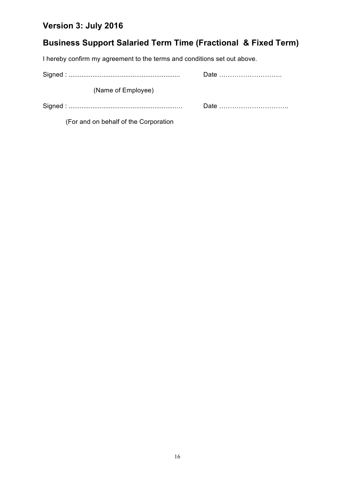# **Business Support Salaried Term Time (Fractional & Fixed Term)**

I hereby confirm my agreement to the terms and conditions set out above.

| (Name of Employee) |      |
|--------------------|------|
|                    | Date |

(For and on behalf of the Corporation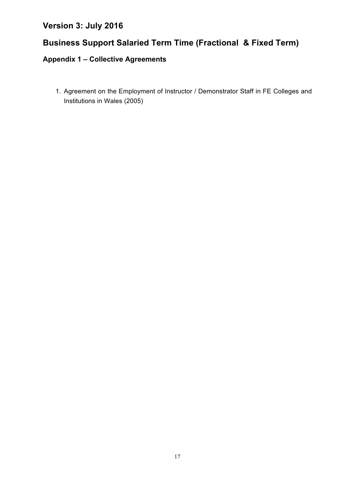# **Business Support Salaried Term Time (Fractional & Fixed Term)**

# **Appendix 1 – Collective Agreements**

1. Agreement on the Employment of Instructor / Demonstrator Staff in FE Colleges and Institutions in Wales (2005)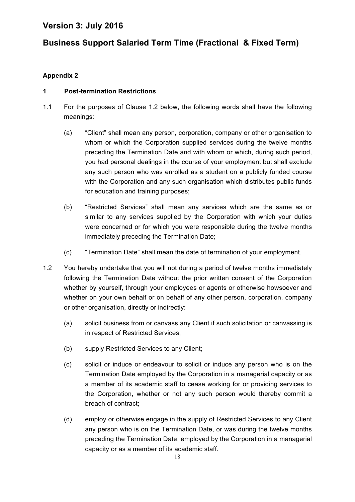# **Business Support Salaried Term Time (Fractional & Fixed Term)**

### **Appendix 2**

### **1 Post-termination Restrictions**

- 1.1 For the purposes of Clause 1.2 below, the following words shall have the following meanings:
	- (a) "Client" shall mean any person, corporation, company or other organisation to whom or which the Corporation supplied services during the twelve months preceding the Termination Date and with whom or which, during such period, you had personal dealings in the course of your employment but shall exclude any such person who was enrolled as a student on a publicly funded course with the Corporation and any such organisation which distributes public funds for education and training purposes;
	- (b) "Restricted Services" shall mean any services which are the same as or similar to any services supplied by the Corporation with which your duties were concerned or for which you were responsible during the twelve months immediately preceding the Termination Date;
	- (c) "Termination Date" shall mean the date of termination of your employment.
- 1.2 You hereby undertake that you will not during a period of twelve months immediately following the Termination Date without the prior written consent of the Corporation whether by yourself, through your employees or agents or otherwise howsoever and whether on your own behalf or on behalf of any other person, corporation, company or other organisation, directly or indirectly:
	- (a) solicit business from or canvass any Client if such solicitation or canvassing is in respect of Restricted Services;
	- (b) supply Restricted Services to any Client;
	- (c) solicit or induce or endeavour to solicit or induce any person who is on the Termination Date employed by the Corporation in a managerial capacity or as a member of its academic staff to cease working for or providing services to the Corporation, whether or not any such person would thereby commit a breach of contract;
	- (d) employ or otherwise engage in the supply of Restricted Services to any Client any person who is on the Termination Date, or was during the twelve months preceding the Termination Date, employed by the Corporation in a managerial capacity or as a member of its academic staff.